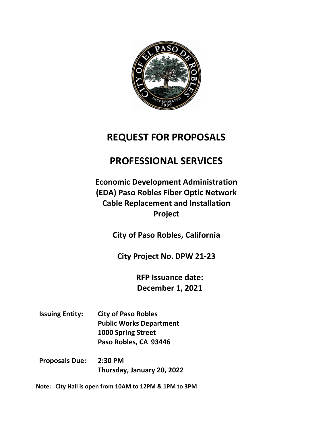

# **REQUEST FOR PROPOSALS**

# **PROFESSIONAL SERVICES**

**Economic Development Administration (EDA) Paso Robles Fiber Optic Network Cable Replacement and Installation Project**

**City of Paso Robles, California**

**City Project No. DPW 21-23**

**RFP Issuance date: December 1, 2021**

- **Issuing Entity: City of Paso Robles Public Works Department 1000 Spring Street Paso Robles, CA 93446**
- **Proposals Due: 2:30 PM Thursday, January 20, 2022**

**Note: City Hall is open from 10AM to 12PM & 1PM to 3PM**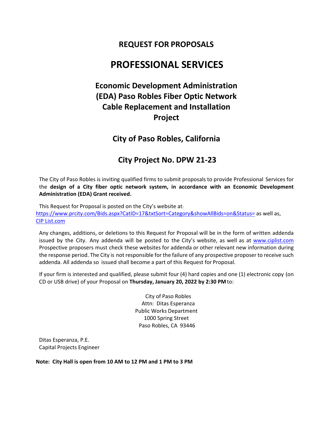# **REQUEST FOR PROPOSALS**

# **PROFESSIONAL SERVICES**

# **Economic Development Administration (EDA) Paso Robles Fiber Optic Network Cable Replacement and Installation Project**

# **City of Paso Robles, California**

# **City Project No. DPW 21-23**

The City of Paso Robles is inviting qualified firms to submit proposals to provide Professional Services for the **design of a City fiber optic network system, in accordance with an Economic Development Administration (EDA) Grant received.**

This Request for Proposal is posted on the City's website at: <https://www.prcity.com/Bids.aspx?CatID=17&txtSort=Category&showAllBids=on&Status=> as well as, [CIP List.com](https://www.ciplist.com/plans/?Paso%20Robles/city/12677)

Any changes, additions, or deletions to this Request for Proposal will be in the form of written addenda issued by the City. Any addenda will be posted to the City's website, as well as at [www.ciplist.com](http://www.ciplist.com/) Prospective proposers must check these websites for addenda or other relevant new information during the response period. The City is not responsible for the failure of any prospective proposer to receive such addenda. All addenda so issued shall become a part of this Request for Proposal.

If your firm is interested and qualified, please submit four (4) hard copies and one (1) electronic copy (on CD or USB drive) of your Proposal on **Thursday, January 20, 2022 by 2:30 PM**to:

> City of Paso Robles Attn: Ditas Esperanza Public Works Department 1000 Spring Street Paso Robles, CA 93446

Ditas Esperanza, P.E. Capital Projects Engineer

**Note: City Hall is open from 10 AM to 12 PM and 1 PM to 3 PM**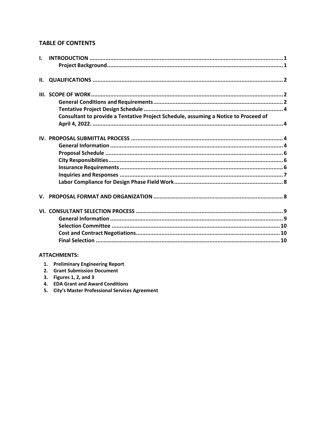# **TABLE OF CONTENTS**

| $\mathbf{L}$ |                                                                                     |  |
|--------------|-------------------------------------------------------------------------------------|--|
| II.          |                                                                                     |  |
|              |                                                                                     |  |
|              |                                                                                     |  |
|              |                                                                                     |  |
|              | Consultant to provide a Tentative Project Schedule, assuming a Notice to Proceed of |  |
|              |                                                                                     |  |
|              |                                                                                     |  |
|              |                                                                                     |  |
|              |                                                                                     |  |
|              |                                                                                     |  |
|              |                                                                                     |  |
|              |                                                                                     |  |
|              |                                                                                     |  |
|              |                                                                                     |  |
|              |                                                                                     |  |
|              |                                                                                     |  |
|              |                                                                                     |  |
|              |                                                                                     |  |

# **ATTACHMENTS:**

| 1. |  | <b>Preliminary Engineering Report</b> |  |
|----|--|---------------------------------------|--|
|----|--|---------------------------------------|--|

- 2. Grant Submission Document
- 3. Figures 1, 2, and 3
- 4. EDA Grant and Award Conditions
- 5. City's Master Professional Services Agreement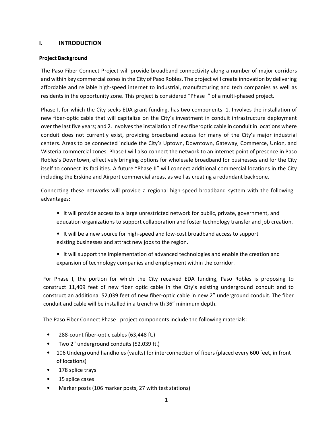## <span id="page-3-0"></span>**I. INTRODUCTION**

### <span id="page-3-1"></span>**Project Background**

The Paso Fiber Connect Project will provide broadband connectivity along a number of major corridors and within key commercial zones in the City of Paso Robles. The project will create innovation by delivering affordable and reliable high‐speed internet to industrial, manufacturing and tech companies as well as residents in the opportunity zone. This project is considered "Phase I" of a multi-phased project.

Phase I, for which the City seeks EDA grant funding, has two components: 1. Involves the installation of new fiber‐optic cable that will capitalize on the City's investment in conduit infrastructure deployment over the last five years; and 2. Involves the installation of new fiberoptic cable in conduit in locations where conduit does not currently exist, providing broadband access for many of the City's major industrial centers. Areas to be connected include the City's Uptown, Downtown, Gateway, Commerce, Union, and Wisteria commercial zones. Phase I will also connect the network to an internet point of presence in Paso Robles's Downtown, effectively bringing options for wholesale broadband for businesses and for the City itself to connect its facilities. A future "Phase II" will connect additional commercial locations in the City including the Erskine and Airport commercial areas, as well as creating a redundant backbone.

Connecting these networks will provide a regional high‐speed broadband system with the following advantages:

- It will provide access to a large unrestricted network for public, private, government, and education organizations to support collaboration and foster technology transfer and job creation.
- It will be a new source for high‐speed and low‐cost broadband access to support existing businesses and attract new jobs to the region.
- It will support the implementation of advanced technologies and enable the creation and expansion of technology companies and employment within the corridor.

For Phase I, the portion for which the City received EDA funding, Paso Robles is proposing to construct 11,409 feet of new fiber optic cable in the City's existing underground conduit and to construct an additional 52,039 feet of new fiber-optic cable in new 2" underground conduit. The fiber conduit and cable will be installed in a trench with 36" minimum depth.

The Paso Fiber Connect Phase I project components include the following materials:

- 288‐count fiber‐optic cables (63,448 ft.)
- Two 2" underground conduits (52,039 ft.)
- 106 Underground handholes (vaults) for interconnection of fibers (placed every 600 feet, in front of locations)
- 178 splice trays
- 15 splice cases
- Marker posts (106 marker posts, 27 with test stations)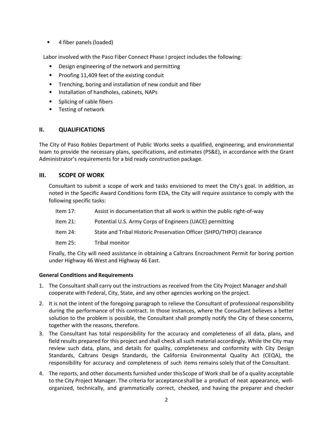• 4 fiber panels (loaded)

Labor involved with the Paso Fiber Connect Phase I project includes the following:

- Design engineering of the network and permitting
- Proofing 11,409 feet of the existing conduit
- Trenching, boring and installation of new conduit and fiber
- Installation of handholes, cabinets, NAPs
- Splicing of cable fibers
- Testing of network

## <span id="page-4-0"></span>**II. QUALIFICATIONS**

The City of Paso Robles Department of Public Works seeks a qualified, engineering, and environmental team to provide the necessary plans, specifications, and estimates (PS&E), in accordance with the Grant Administrator's requirements for a bid ready construction package.

## <span id="page-4-1"></span>**III. SCOPE OF WORK**

Consultant to submit a scope of work and tasks envisioned to meet the City's goal. In addition, as noted in the Specific Award Conditions form EDA, the City will require assistance to comply with the following specific tasks:

- Item 17: Assist in documentation that all work is within the public right-of-way
- Item 21: Potential U.S. Army Corps of Engineers (UACE) permitting
- Item 24: State and Tribal Historic Preservation Officer (SHPO/THPO) clearance
- Item 25: Tribal monitor

Finally, the City will need assistance in obtaining a Caltrans Encroachment Permit for boring portion under Highway 46 West and Highway 46 East.

#### <span id="page-4-2"></span>**General Conditions and Requirements**

- 1. The Consultant shall carry out the instructions as received from the City Project Manager andshall cooperate with Federal, City, State, and any other agencies working on the project.
- 2. It is not the intent of the foregoing paragraph to relieve the Consultant of professional responsibility during the performance of this contract. In those instances, where the Consultant believes a better solution to the problem is possible, the Consultant shall promptly notify the City of these concerns, together with the reasons, therefore.
- 3. The Consultant has total responsibility for the accuracy and completeness of all data, plans, and field results prepared for this project and shall check all such material accordingly. While the City may review such data, plans, and details for quality, completeness and conformity with City Design Standards, Caltrans Design Standards, the California Environmental Quality Act (CEQA), the responsibility for accuracy and completeness of such items remains solely that of the Consultant.
- 4. The reports, and other documents furnished under thisScope of Work shall be of a quality acceptable to the City Project Manager. The criteria for acceptanceshall be a product of neat appearance, wellorganized, technically, and grammatically correct, checked, and having the preparer and checker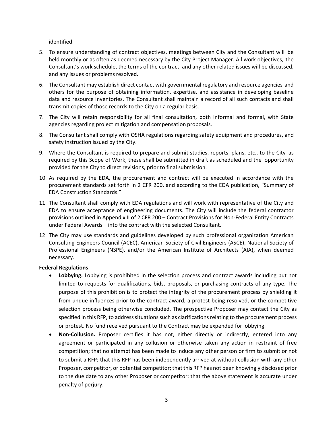identified.

- 5. To ensure understanding of contract objectives, meetings between City and the Consultant will be held monthly or as often as deemed necessary by the City Project Manager. All work objectives, the Consultant's work schedule, the terms of the contract, and any other related issues will be discussed, and any issues or problems resolved.
- 6. The Consultant may establish direct contact with governmental regulatory and resource agencies and others for the purpose of obtaining information, expertise, and assistance in developing baseline data and resource inventories. The Consultant shall maintain a record of all such contacts and shall transmit copies of those records to the City on a regular basis.
- 7. The City will retain responsibility for all final consultation, both informal and formal, with State agencies regarding project mitigation and compensation proposals.
- 8. The Consultant shall comply with OSHA regulations regarding safety equipment and procedures, and safety instruction issued by the City.
- 9. Where the Consultant is required to prepare and submit studies, reports, plans, etc., to the City as required by this Scope of Work, these shall be submitted in draft as scheduled and the opportunity provided for the City to direct revisions, prior to final submission.
- 10. As required by the EDA, the procurement and contract will be executed in accordance with the procurement standards set forth in 2 CFR 200, and according to the EDA publication, "Summary of EDA Construction Standards."
- 11. The Consultant shall comply with EDA regulations and will work with representative of the City and EDA to ensure acceptance of engineering documents. The City will include the federal contractor provisions outlined in Appendix II of 2 CFR 200 – Contract Provisions for Non-Federal Entity Contracts under Federal Awards – into the contract with the selected Consultant.
- 12. The City may use standards and guidelines developed by such professional organization American Consulting Engineers Council (ACEC), American Society of Civil Engineers (ASCE), National Society of Professional Engineers (NSPE), and/or the American Institute of Architects (AIA), when deemed necessary.

#### **Federal Regulations**

- **Lobbying.** Lobbying is prohibited in the selection process and contract awards including but not limited to requests for qualifications, bids, proposals, or purchasing contracts of any type. The purpose of this prohibition is to protect the integrity of the procurement process by shielding it from undue influences prior to the contract award, a protest being resolved, or the competitive selection process being otherwise concluded. The prospective Proposer may contact the City as specified in this RFP, to address situations such as clarifications relating to the procurement process or protest. No fund received pursuant to the Contract may be expended for lobbying.
- **Non-Collusion.** Proposer certifies it has not, either directly or indirectly, entered into any agreement or participated in any collusion or otherwise taken any action in restraint of free competition; that no attempt has been made to induce any other person or firm to submit or not to submit a RFP; that this RFP has been independently arrived at without collusion with any other Proposer, competitor, or potential competitor; that this RFP has not been knowingly disclosed prior to the due date to any other Proposer or competitor; that the above statement is accurate under penalty of perjury.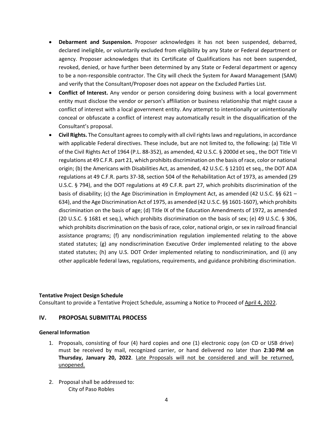- **Debarment and Suspension.** Proposer acknowledges it has not been suspended, debarred, declared ineligible, or voluntarily excluded from eligibility by any State or Federal department or agency. Proposer acknowledges that its Certificate of Qualifications has not been suspended, revoked, denied, or have further been determined by any State or Federal department or agency to be a non-responsible contractor. The City will check the System for Award Management (SAM) and verify that the Consultant/Proposer does not appear on the Excluded Parties List.
- **Conflict of Interest.** Any vendor or person considering doing business with a local government entity must disclose the vendor or person's affiliation or business relationship that might cause a conflict of interest with a local government entity. Any attempt to intentionally or unintentionally conceal or obfuscate a conflict of interest may automatically result in the disqualification of the Consultant's proposal.
- **Civil Rights.** The Consultant agrees to comply with all civil rights laws and regulations, in accordance with applicable Federal directives. These include, but are not limited to, the following: (a) Title VI of the Civil Rights Act of 1964 (P.L. 88-352), as amended, 42 U.S.C. § 2000d et seq., the DOT Title VI regulations at 49 C.F.R. part 21, which prohibits discrimination on the basis of race, color or national origin; (b) the Americans with Disabilities Act, as amended, 42 U.S.C. § 12101 et seq., the DOT ADA regulations at 49 C.F.R. parts 37-38, section 504 of the Rehabilitation Act of 1973, as amended (29 U.S.C. § 794), and the DOT regulations at 49 C.F.R. part 27, which prohibits discrimination of the basis of disability; (c) the Age Discrimination in Employment Act, as amended (42 U.S.C. §§ 621 – 634), and the Age Discrimination Act of 1975, as amended (42 U.S.C. §§ 1601-1607), which prohibits discrimination on the basis of age; (d) Title IX of the Education Amendments of 1972, as amended (20 U.S.C. § 1681 et seq.), which prohibits discrimination on the basis of sex; (e) 49 U.S.C. § 306, which prohibits discrimination on the basis of race, color, national origin, or sex in railroad financial assistance programs; (f) any nondiscrimination regulation implemented relating to the above stated statutes; (g) any nondiscrimination Executive Order implemented relating to the above stated statutes; (h) any U.S. DOT Order implemented relating to nondiscrimination, and (i) any other applicable federal laws, regulations, requirements, and guidance prohibiting discrimination.

#### <span id="page-6-0"></span>**Tentative Project Design Schedule**

<span id="page-6-1"></span>Consultant to provide a Tentative Project Schedule, assuming a Notice to Proceed of April 4, 2022.

#### <span id="page-6-2"></span>**IV. PROPOSAL SUBMITTAL PROCESS**

## <span id="page-6-3"></span>**General Information**

- 1. Proposals, consisting of four (4) hard copies and one (1) electronic copy (on CD or USB drive) must be received by mail, recognized carrier, or hand delivered no later than **2:30 PM on Thursday, January 20, 2022**. Late Proposals will not be considered and will be returned, unopened.
- 2. Proposal shall be addressed to: City of Paso Robles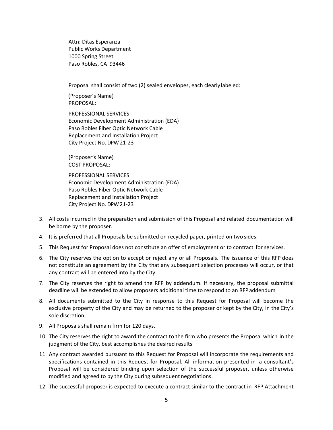Attn: Ditas Esperanza Public Works Department 1000 Spring Street Paso Robles, CA 93446

Proposal shall consist of two (2) sealed envelopes, each clearly labeled:

(Proposer's Name) PROPOSAL:

PROFESSIONAL SERVICES Economic Development Administration (EDA) Paso Robles Fiber Optic Network Cable Replacement and Installation Project City Project No. DPW 21-23

(Proposer's Name) COST PROPOSAL:

PROFESSIONAL SERVICES Economic Development Administration (EDA) Paso Robles Fiber Optic Network Cable Replacement and Installation Project City Project No. DPW 21-23

- 3. All costs incurred in the preparation and submission of this Proposal and related documentation will be borne by the proposer.
- 4. It is preferred that all Proposals be submitted on recycled paper, printed on two sides.
- 5. This Request for Proposal does not constitute an offer of employment or to contract for services.
- 6. The City reserves the option to accept or reject any or all Proposals. The issuance of this RFP does not constitute an agreement by the City that any subsequent selection processes will occur, or that any contract will be entered into by the City.
- 7. The City reserves the right to amend the RFP by addendum. If necessary, the proposal submittal deadline will be extended to allow proposers additional time to respond to an RFPaddendum
- 8. All documents submitted to the City in response to this Request for Proposal will become the exclusive property of the City and may be returned to the proposer or kept by the City, in the City's sole discretion.
- 9. All Proposals shall remain firm for 120 days.
- 10. The City reserves the right to award the contract to the firm who presents the Proposal which in the judgment of the City, best accomplishes the desired results
- 11. Any contract awarded pursuant to this Request for Proposal will incorporate the requirements and specifications contained in this Request for Proposal. All information presented in a consultant's Proposal will be considered binding upon selection of the successful proposer, unless otherwise modified and agreed to by the City during subsequent negotiations.
- 12. The successful proposer is expected to execute a contract similar to the contract in RFP Attachment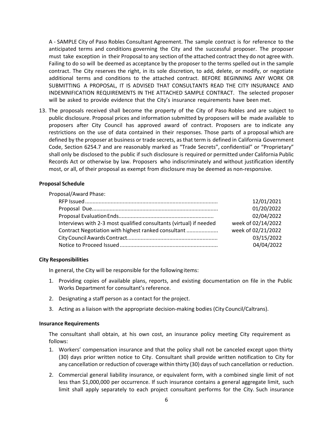A - SAMPLE City of Paso Robles Consultant Agreement. The sample contract is for reference to the anticipated terms and conditions governing the City and the successful proposer. The proposer must take exception in their Proposal to any section of the attached contract they do not agree with. Failing to do so will be deemed as acceptance by the proposer to the terms spelled out in the sample contract. The City reserves the right, in its sole discretion, to add, delete, or modify, or negotiate additional terms and conditions to the attached contract. BEFORE BEGINNING ANY WORK OR SUBMITTING A PROPOSAL, IT IS ADVISED THAT CONSULTANTS READ THE CITY INSURANCE AND INDEMNIFICATION REQUIREMENTS IN THE ATTACHED SAMPLE CONTRACT. The selected proposer will be asked to provide evidence that the City's insurance requirements have been met.

13. The proposals received shall become the property of the City of Paso Robles and are subject to public disclosure. Proposal prices and information submitted by proposers will be made available to proposers after City Council has approved award of contract. Proposers are to indicate any restrictions on the use of data contained in their responses. Those parts of a proposal which are defined by the proposer at business or trade secrets, as that term is defined in California Government Code, Section 6254.7 and are reasonably marked as "Trade Secrets", confidential" or "Proprietary" shall only be disclosed to the public if such disclosure is required or permitted under California Public Records Act or otherwise by law. Proposers who indiscriminately and without justification identify most, or all, of their proposal as exempt from disclosure may be deemed as non-responsive.

#### <span id="page-8-0"></span>**Proposal Schedule**

| Proposal/Award Phase:                                              |                    |
|--------------------------------------------------------------------|--------------------|
|                                                                    | 12/01/2021         |
|                                                                    | 01/20/2022         |
|                                                                    | 02/04/2022         |
| Interviews with 2-3 most qualified consultants (virtual) if needed | week of 02/14/2022 |
| Contract Negotiation with highest ranked consultant                | week of 02/21/2022 |
|                                                                    | 03/15/2022         |
|                                                                    | 04/04/2022         |
|                                                                    |                    |

#### <span id="page-8-1"></span>**City Responsibilities**

In general, the City will be responsible for the followingitems:

- 1. Providing copies of available plans, reports, and existing documentation on file in the Public Works Department for consultant's reference.
- 2. Designating a staff person as a contact for the project.
- 3. Acting as a liaison with the appropriate decision-making bodies (City Council/Caltrans).

#### <span id="page-8-2"></span>**Insurance Requirements**

The consultant shall obtain, at his own cost, an insurance policy meeting City requirement as follows:

- 1. Workers' compensation insurance and that the policy shall not be canceled except upon thirty (30) days prior written notice to City. Consultant shall provide written notification to City for any cancellation or reduction of coverage within thirty (30) days of such cancellation or reduction.
- 2. Commercial general liability insurance, or equivalent form, with a combined single limit of not less than \$1,000,000 per occurrence. If such insurance contains a general aggregate limit, such limit shall apply separately to each project consultant performs for the City. Such insurance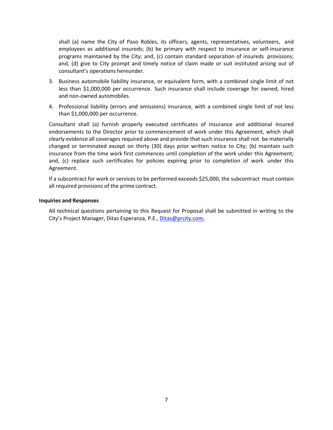shall (a) name the City of Paso Robles, its officers, agents, representatives, volunteers, and employees as additional insureds; (b) be primary with respect to insurance or self-insurance programs maintained by the City; and, (c) contain standard separation of insureds provisions; and, (d) give to City prompt and timely notice of claim made or suit instituted arising out of consultant's operations hereunder.

- 3. Business automobile liability insurance, or equivalent form, with a combined single limit of not less than \$1,000,000 per occurrence. Such insurance shall include coverage for owned, hired and non-owned automobiles.
- 4. Professional liability (errors and omissions) insurance, with a combined single limit of not less than \$1,000,000 per occurrence.

Consultant shall (a) furnish properly executed certificates of insurance and additional insured endorsements to the Director prior to commencement of work under this Agreement, which shall clearly evidence all coverages required above and provide that such insurance shall not be materially changed or terminated except on thirty (30) days prior written notice to City; (b) maintain such insurance from the time work first commences until completion of the work under this Agreement; and, (c) replace such certificates for policies expiring prior to completion of work under this Agreement.

If a subcontract for work or services to be performed exceeds \$25,000, the subcontract must contain all required provisions of the prime contract.

#### <span id="page-9-0"></span>**Inquiries and Responses**

All technical questions pertaining to this Request for Proposal shall be submitted in writing to the City's Project Manager, Ditas Esperanza, P.E., [Ditas@prcity.com.](mailto:Ditas@prcity.com.)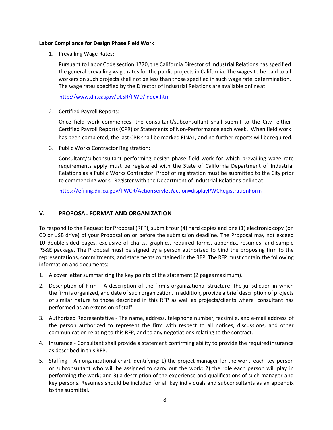#### <span id="page-10-0"></span>**Labor Compliance for Design Phase Field Work**

1. Prevailing Wage Rates:

Pursuant to Labor Code section 1770, the California Director of Industrial Relations has specified the general prevailing wage rates for the public projects in California. The wages to be paid to all workers on such projects shall not be less than those specified in such wage rate determination. The wage rates specified by the Director of Industrial Relations are available onlineat:

## <http://www.dir.ca.gov/DLSR/PWD/index.htm>

2. Certified Payroll Reports:

Once field work commences, the consultant/subconsultant shall submit to the City either Certified Payroll Reports (CPR) or Statements of Non-Performance each week. When field work has been completed, the last CPR shall be marked FINAL, and no further reports will berequired.

3. Public Works Contractor Registration:

Consultant/subconsultant performing design phase field work for which prevailing wage rate requirements apply must be registered with the State of California Department of Industrial Relations as a Public Works Contractor. Proof of registration must be submitted to the City prior to commencing work. Register with the Department of Industrial Relations onlineat:

https://efiling.dir.ca.gov/PWCR/ActionServlet?action=displayPWCRegistrationForm

# <span id="page-10-1"></span>**V. PROPOSAL FORMAT AND ORGANIZATION**

To respond to the Request for Proposal (RFP), submit four (4) hard copies and one (1) electronic copy (on CD or USB drive) of your Proposal on or before the submission deadline. The Proposal may not exceed 10 double-sided pages, exclusive of charts, graphics, required forms, appendix, resumes, and sample PS&E package. The Proposal must be signed by a person authorized to bind the proposing firm to the representations, commitments, and statements contained in the RFP. The RFP must contain the following information and documents:

- 1. A cover letter summarizing the key points of the statement (2 pages maximum).
- 2. Description of Firm A description of the firm's organizational structure, the jurisdiction in which the firm is organized, and date of such organization. In addition, provide a brief description of projects of similar nature to those described in this RFP as well as projects/clients where consultant has performed as an extension of staff.
- 3. Authorized Representative The name, address, telephone number, facsimile, and e-mail address of the person authorized to represent the firm with respect to all notices, discussions, and other communication relating to this RFP, and to any negotiations relating to the contract.
- 4. Insurance Consultant shall provide a statement confirming ability to provide the requiredinsurance as described in this RFP.
- 5. Staffing An organizational chart identifying: 1) the project manager for the work, each key person or subconsultant who will be assigned to carry out the work; 2) the role each person will play in performing the work; and 3) a description of the experience and qualifications of such manager and key persons. Resumes should be included for all key individuals and subconsultants as an appendix to the submittal.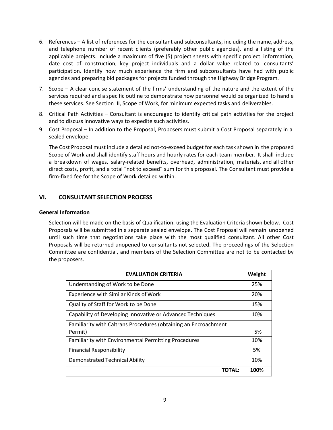- 6. References A list of references for the consultant and subconsultants, including the name, address, and telephone number of recent clients (preferably other public agencies), and a listing of the applicable projects. Include a maximum of five (5) project sheets with specific project information, date cost of construction, key project individuals and a dollar value related to consultants' participation. Identify how much experience the firm and subconsultants have had with public agencies and preparing bid packages for projects funded through the Highway Bridge Program.
- 7. Scope A clear concise statement of the firms' understanding of the nature and the extent of the services required and a specific outline to demonstrate how personnel would be organized to handle these services. See Section III, Scope of Work, for minimum expected tasks and deliverables.
- 8. Critical Path Activities Consultant is encouraged to identify critical path activities for the project and to discuss innovative ways to expedite such activities.
- 9. Cost Proposal In addition to the Proposal, Proposers must submit a Cost Proposal separately in a sealed envelope.

The Cost Proposal must include a detailed not-to-exceed budget for each task shown in the proposed Scope of Work and shall identify staff hours and hourly rates for each team member. It shall include a breakdown of wages, salary-related benefits, overhead, administration, materials, and all other direct costs, profit, and a total "not to exceed" sum for this proposal. The Consultant must provide a firm-fixed fee for the Scope of Work detailed within.

# <span id="page-11-0"></span>**VI. CONSULTANT SELECTION PROCESS**

#### <span id="page-11-1"></span>**General Information**

Selection will be made on the basis of Qualification, using the Evaluation Criteria shown below. Cost Proposals will be submitted in a separate sealed envelope. The Cost Proposal will remain unopened until such time that negotiations take place with the most qualified consultant. All other Cost Proposals will be returned unopened to consultants not selected. The proceedings of the Selection Committee are confidential, and members of the Selection Committee are not to be contacted by the proposers.

| <b>EVALUATION CRITERIA</b>                                      | Weight |  |
|-----------------------------------------------------------------|--------|--|
| Understanding of Work to be Done                                |        |  |
| Experience with Similar Kinds of Work                           |        |  |
| Quality of Staff for Work to be Done                            | 15%    |  |
| Capability of Developing Innovative or Advanced Techniques      | 10%    |  |
| Familiarity with Caltrans Procedures (obtaining an Encroachment |        |  |
| Permit)                                                         | 5%     |  |
| Familiarity with Environmental Permitting Procedures            | 10%    |  |
| <b>Financial Responsibility</b>                                 | 5%     |  |
| <b>Demonstrated Technical Ability</b>                           | 10%    |  |
| <b>TOTAL:</b>                                                   | 100%   |  |